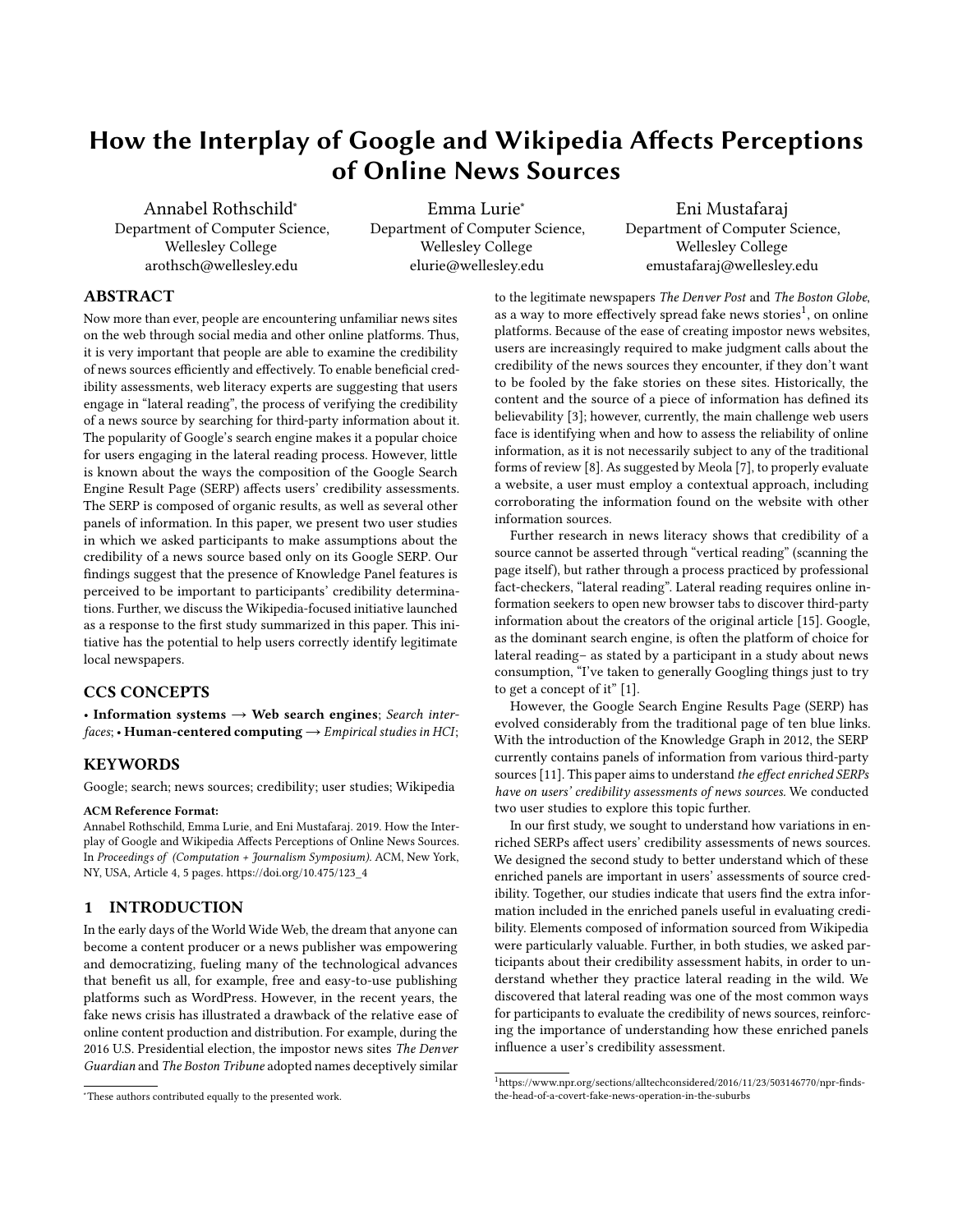# How the Interplay of Google and Wikipedia Affects Perceptions of Online News Sources

Annabel Rothschild<sup>∗</sup> Department of Computer Science, Wellesley College arothsch@wellesley.edu

Emma Lurie<sup>∗</sup> Department of Computer Science, Wellesley College elurie@wellesley.edu

Eni Mustafaraj Department of Computer Science, Wellesley College emustafaraj@wellesley.edu

## ABSTRACT

Now more than ever, people are encountering unfamiliar news sites on the web through social media and other online platforms. Thus, it is very important that people are able to examine the credibility of news sources efficiently and effectively. To enable beneficial credibility assessments, web literacy experts are suggesting that users engage in "lateral reading", the process of verifying the credibility of a news source by searching for third-party information about it. The popularity of Google's search engine makes it a popular choice for users engaging in the lateral reading process. However, little is known about the ways the composition of the Google Search Engine Result Page (SERP) affects users' credibility assessments. The SERP is composed of organic results, as well as several other panels of information. In this paper, we present two user studies in which we asked participants to make assumptions about the credibility of a news source based only on its Google SERP. Our findings suggest that the presence of Knowledge Panel features is perceived to be important to participants' credibility determinations. Further, we discuss the Wikipedia-focused initiative launched as a response to the first study summarized in this paper. This initiative has the potential to help users correctly identify legitimate local newspapers.

# CCS CONCEPTS

• Information systems  $\rightarrow$  Web search engines; Search interfaces; • Human-centered computing  $\rightarrow$  Empirical studies in HCI;

# **KEYWORDS**

Google; search; news sources; credibility; user studies; Wikipedia

#### ACM Reference Format:

Annabel Rothschild, Emma Lurie, and Eni Mustafaraj. 2019. How the Interplay of Google and Wikipedia Affects Perceptions of Online News Sources. In Proceedings of (Computation + Journalism Symposium). ACM, New York, NY, USA, Article 4, [5](#page-4-0) pages. [https://doi.org/10.475/123\\_4](https://doi.org/10.475/123_4)

# 1 INTRODUCTION

In the early days of the World Wide Web, the dream that anyone can become a content producer or a news publisher was empowering and democratizing, fueling many of the technological advances that benefit us all, for example, free and easy-to-use publishing platforms such as WordPress. However, in the recent years, the fake news crisis has illustrated a drawback of the relative ease of online content production and distribution. For example, during the 2016 U.S. Presidential election, the impostor news sites The Denver Guardian and The Boston Tribune adopted names deceptively similar to the legitimate newspapers The Denver Post and The Boston Globe, as a way to more effectively spread fake news stories<sup>[1](#page-0-0)</sup>, on online platforms. Because of the ease of creating impostor news websites, users are increasingly required to make judgment calls about the credibility of the news sources they encounter, if they don't want to be fooled by the fake stories on these sites. Historically, the content and the source of a piece of information has defined its believability [\[3\]](#page-4-1); however, currently, the main challenge web users face is identifying when and how to assess the reliability of online information, as it is not necessarily subject to any of the traditional forms of review [\[8\]](#page-4-2). As suggested by Meola [\[7\]](#page-4-3), to properly evaluate a website, a user must employ a contextual approach, including corroborating the information found on the website with other information sources.

Further research in news literacy shows that credibility of a source cannot be asserted through "vertical reading" (scanning the page itself), but rather through a process practiced by professional fact-checkers, "lateral reading". Lateral reading requires online information seekers to open new browser tabs to discover third-party information about the creators of the original article [\[15\]](#page-4-4). Google, as the dominant search engine, is often the platform of choice for lateral reading– as stated by a participant in a study about news consumption, "I've taken to generally Googling things just to try to get a concept of it" [\[1\]](#page-4-5).

However, the Google Search Engine Results Page (SERP) has evolved considerably from the traditional page of ten blue links. With the introduction of the Knowledge Graph in 2012, the SERP currently contains panels of information from various third-party sources [\[11\]](#page-4-6). This paper aims to understand the effect enriched SERPs have on users' credibility assessments of news sources. We conducted two user studies to explore this topic further.

In our first study, we sought to understand how variations in enriched SERPs affect users' credibility assessments of news sources. We designed the second study to better understand which of these enriched panels are important in users' assessments of source credibility. Together, our studies indicate that users find the extra information included in the enriched panels useful in evaluating credibility. Elements composed of information sourced from Wikipedia were particularly valuable. Further, in both studies, we asked participants about their credibility assessment habits, in order to understand whether they practice lateral reading in the wild. We discovered that lateral reading was one of the most common ways for participants to evaluate the credibility of news sources, reinforcing the importance of understanding how these enriched panels influence a user's credibility assessment.

<sup>∗</sup>These authors contributed equally to the presented work.

<span id="page-0-0"></span><sup>1</sup>https://www.npr.org/sections/alltechconsidered/2016/11/23/503146770/npr-findsthe-head-of-a-covert-fake-news-operation-in-the-suburbs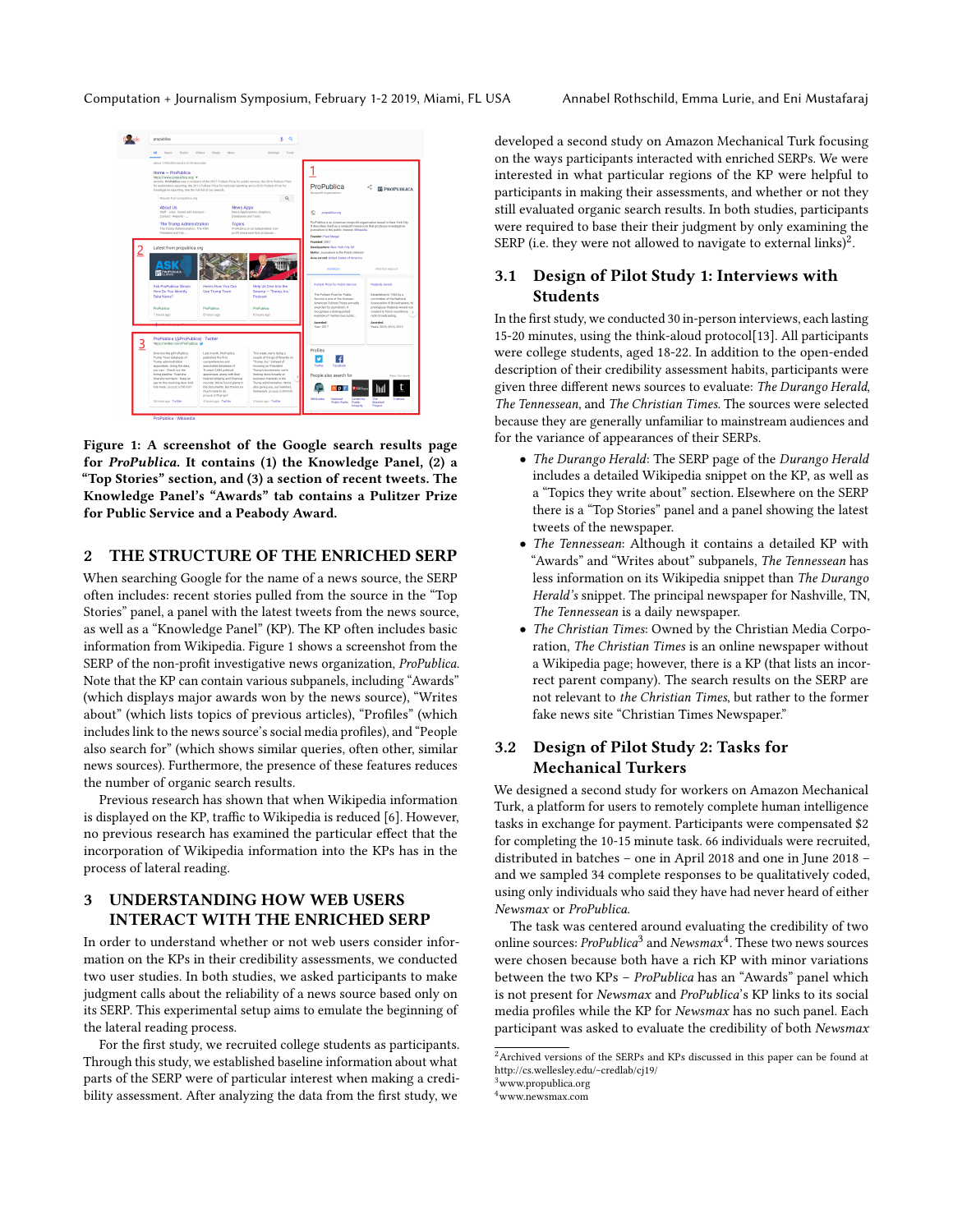<span id="page-1-0"></span>

Figure 1: A screenshot of the Google search results page for ProPublica. It contains (1) the Knowledge Panel, (2) a "Top Stories" section, and (3) a section of recent tweets. The Knowledge Panel's "Awards" tab contains a Pulitzer Prize for Public Service and a Peabody Award.

# 2 THE STRUCTURE OF THE ENRICHED SERP

When searching Google for the name of a news source, the SERP often includes: recent stories pulled from the source in the "Top Stories" panel, a panel with the latest tweets from the news source, as well as a "Knowledge Panel" (KP). The KP often includes basic information from Wikipedia. Figure [1](#page-1-0) shows a screenshot from the SERP of the non-profit investigative news organization, ProPublica. Note that the KP can contain various subpanels, including "Awards" (which displays major awards won by the news source), "Writes about" (which lists topics of previous articles), "Profiles" (which includes link to the news source's social media profiles), and "People also search for" (which shows similar queries, often other, similar news sources). Furthermore, the presence of these features reduces the number of organic search results.

Previous research has shown that when Wikipedia information is displayed on the KP, traffic to Wikipedia is reduced [\[6\]](#page-4-7). However, no previous research has examined the particular effect that the incorporation of Wikipedia information into the KPs has in the process of lateral reading.

# 3 UNDERSTANDING HOW WEB USERS INTERACT WITH THE ENRICHED SERP

In order to understand whether or not web users consider information on the KPs in their credibility assessments, we conducted two user studies. In both studies, we asked participants to make judgment calls about the reliability of a news source based only on its SERP. This experimental setup aims to emulate the beginning of the lateral reading process.

For the first study, we recruited college students as participants. Through this study, we established baseline information about what parts of the SERP were of particular interest when making a credibility assessment. After analyzing the data from the first study, we

developed a second study on Amazon Mechanical Turk focusing on the ways participants interacted with enriched SERPs. We were interested in what particular regions of the KP were helpful to participants in making their assessments, and whether or not they still evaluated organic search results. In both studies, participants were required to base their their judgment by only examining the SERP (i.e. they were not allowed to navigate to external links) $^2$  $^2$ .

# 3.1 Design of Pilot Study 1: Interviews with Students

In the first study, we conducted 30 in-person interviews, each lasting 15-20 minutes, using the think-aloud protocol[\[13\]](#page-4-8). All participants were college students, aged 18-22. In addition to the open-ended description of their credibility assessment habits, participants were given three different news sources to evaluate: The Durango Herald, The Tennessean, and The Christian Times. The sources were selected because they are generally unfamiliar to mainstream audiences and for the variance of appearances of their SERPs.

- The Durango Herald: The SERP page of the Durango Herald includes a detailed Wikipedia snippet on the KP, as well as a "Topics they write about" section. Elsewhere on the SERP there is a "Top Stories" panel and a panel showing the latest tweets of the newspaper.
- The Tennessean: Although it contains a detailed KP with "Awards" and "Writes about" subpanels, The Tennessean has less information on its Wikipedia snippet than The Durango Herald's snippet. The principal newspaper for Nashville, TN, The Tennessean is a daily newspaper.
- The Christian Times: Owned by the Christian Media Corporation, The Christian Times is an online newspaper without a Wikipedia page; however, there is a KP (that lists an incorrect parent company). The search results on the SERP are not relevant to the Christian Times, but rather to the former fake news site "Christian Times Newspaper."

# 3.2 Design of Pilot Study 2: Tasks for Mechanical Turkers

We designed a second study for workers on Amazon Mechanical Turk, a platform for users to remotely complete human intelligence tasks in exchange for payment. Participants were compensated \$2 for completing the 10-15 minute task. 66 individuals were recruited, distributed in batches – one in April 2018 and one in June 2018 – and we sampled 34 complete responses to be qualitatively coded, using only individuals who said they have had never heard of either Newsmax or ProPublica.

The task was centered around evaluating the credibility of two online sources:  $\emph{ProPublica}^3$  $\emph{ProPublica}^3$  and  $\emph{Newsmax}^4$  $\emph{Newsmax}^4$ . These two news sources were chosen because both have a rich KP with minor variations between the two KPs – ProPublica has an "Awards" panel which is not present for Newsmax and ProPublica's KP links to its social media profiles while the KP for Newsmax has no such panel. Each participant was asked to evaluate the credibility of both Newsmax

<span id="page-1-1"></span> $2$ Archived versions of the SERPs and KPs discussed in this paper can be found at http://cs.wellesley.edu/~credlab/cj19/

<span id="page-1-2"></span><sup>&</sup>lt;sup>3</sup>www.propublica.org

<span id="page-1-3"></span><sup>4</sup>www.newsmax.com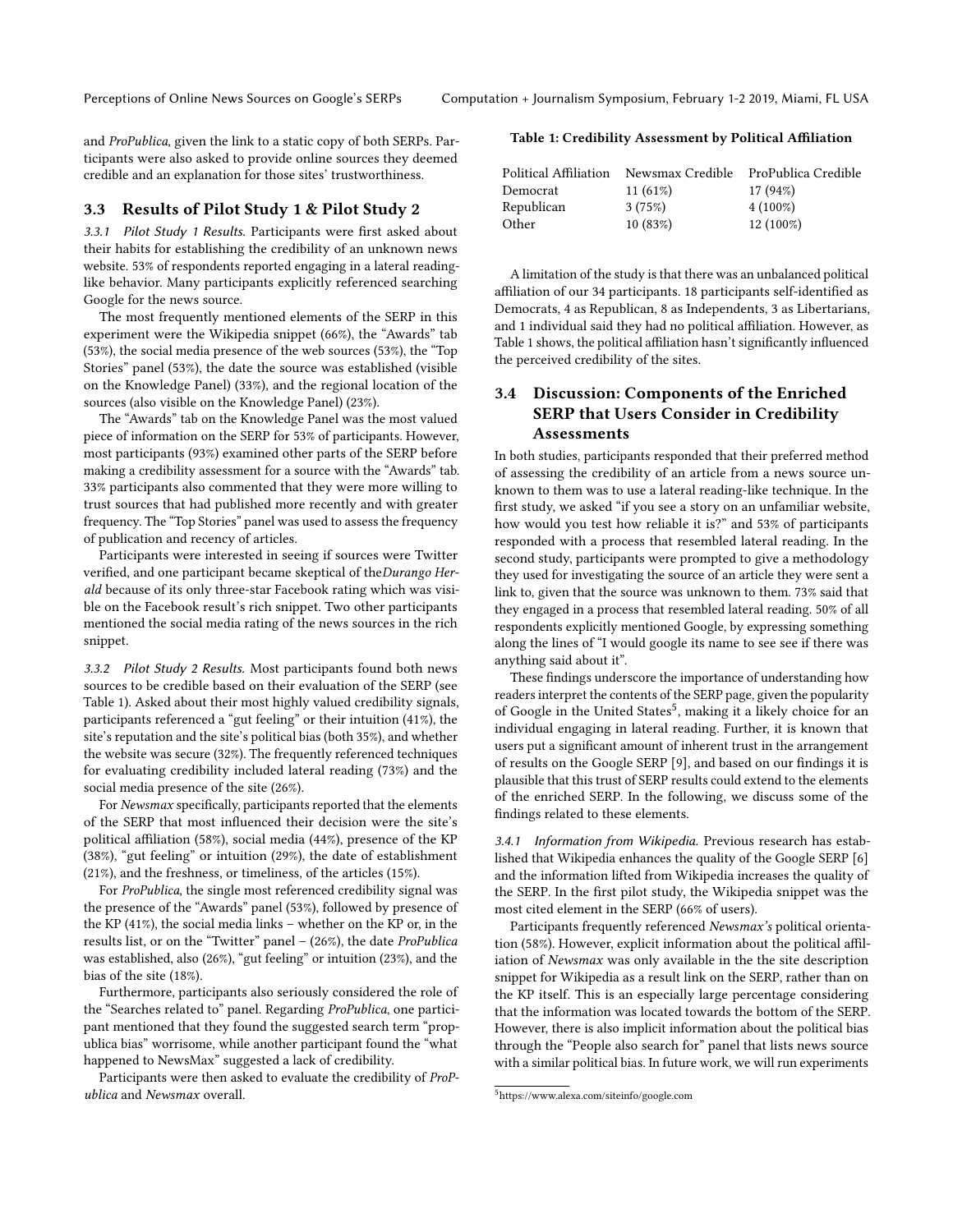and ProPublica, given the link to a static copy of both SERPs. Participants were also asked to provide online sources they deemed credible and an explanation for those sites' trustworthiness.

#### 3.3 Results of Pilot Study 1 & Pilot Study 2

3.3.1 Pilot Study 1 Results. Participants were first asked about their habits for establishing the credibility of an unknown news website. 53% of respondents reported engaging in a lateral readinglike behavior. Many participants explicitly referenced searching Google for the news source.

The most frequently mentioned elements of the SERP in this experiment were the Wikipedia snippet (66%), the "Awards" tab (53%), the social media presence of the web sources (53%), the "Top Stories" panel (53%), the date the source was established (visible on the Knowledge Panel) (33%), and the regional location of the sources (also visible on the Knowledge Panel) (23%).

The "Awards" tab on the Knowledge Panel was the most valued piece of information on the SERP for 53% of participants. However, most participants (93%) examined other parts of the SERP before making a credibility assessment for a source with the "Awards" tab. 33% participants also commented that they were more willing to trust sources that had published more recently and with greater frequency. The "Top Stories" panel was used to assess the frequency of publication and recency of articles.

Participants were interested in seeing if sources were Twitter verified, and one participant became skeptical of theDurango Herald because of its only three-star Facebook rating which was visible on the Facebook result's rich snippet. Two other participants mentioned the social media rating of the news sources in the rich snippet.

3.3.2 Pilot Study 2 Results. Most participants found both news sources to be credible based on their evaluation of the SERP (see Table [1\)](#page-2-0). Asked about their most highly valued credibility signals, participants referenced a "gut feeling" or their intuition (41%), the site's reputation and the site's political bias (both 35%), and whether the website was secure (32%). The frequently referenced techniques for evaluating credibility included lateral reading (73%) and the social media presence of the site (26%).

For Newsmax specifically, participants reported that the elements of the SERP that most influenced their decision were the site's political affiliation (58%), social media (44%), presence of the KP (38%), "gut feeling" or intuition (29%), the date of establishment (21%), and the freshness, or timeliness, of the articles (15%).

For ProPublica, the single most referenced credibility signal was the presence of the "Awards" panel (53%), followed by presence of the KP (41%), the social media links – whether on the KP or, in the results list, or on the "Twitter" panel – (26%), the date ProPublica was established, also (26%), "gut feeling" or intuition (23%), and the bias of the site (18%).

Furthermore, participants also seriously considered the role of the "Searches related to" panel. Regarding ProPublica, one participant mentioned that they found the suggested search term "propublica bias" worrisome, while another participant found the "what happened to NewsMax" suggested a lack of credibility.

Participants were then asked to evaluate the credibility of ProPublica and Newsmax overall.

#### <span id="page-2-0"></span>Table 1: Credibility Assessment by Political Affiliation

| Political Affiliation | Newsmax Credible | ProPublica Credible |
|-----------------------|------------------|---------------------|
| Democrat              | $11(61\%)$       | 17 (94%)            |
| Republican            | 3(75%)           | $4(100\%)$          |
| Other                 | 10(83%)          | $12(100\%)$         |

A limitation of the study is that there was an unbalanced political affiliation of our 34 participants. 18 participants self-identified as Democrats, 4 as Republican, 8 as Independents, 3 as Libertarians, and 1 individual said they had no political affiliation. However, as Table [1](#page-2-0) shows, the political affiliation hasn't significantly influenced the perceived credibility of the sites.

# 3.4 Discussion: Components of the Enriched SERP that Users Consider in Credibility Assessments

In both studies, participants responded that their preferred method of assessing the credibility of an article from a news source unknown to them was to use a lateral reading-like technique. In the first study, we asked "if you see a story on an unfamiliar website, how would you test how reliable it is?" and 53% of participants responded with a process that resembled lateral reading. In the second study, participants were prompted to give a methodology they used for investigating the source of an article they were sent a link to, given that the source was unknown to them. 73% said that they engaged in a process that resembled lateral reading. 50% of all respondents explicitly mentioned Google, by expressing something along the lines of "I would google its name to see see if there was anything said about it".

These findings underscore the importance of understanding how readers interpret the contents of the SERP page, given the popularity of Google in the United States<sup>[5](#page-2-1)</sup>, making it a likely choice for an individual engaging in lateral reading. Further, it is known that users put a significant amount of inherent trust in the arrangement of results on the Google SERP [\[9\]](#page-4-9), and based on our findings it is plausible that this trust of SERP results could extend to the elements of the enriched SERP. In the following, we discuss some of the findings related to these elements.

3.4.1 Information from Wikipedia. Previous research has established that Wikipedia enhances the quality of the Google SERP [\[6\]](#page-4-7) and the information lifted from Wikipedia increases the quality of the SERP. In the first pilot study, the Wikipedia snippet was the most cited element in the SERP (66% of users).

Participants frequently referenced Newsmax's political orientation (58%). However, explicit information about the political affiliation of Newsmax was only available in the the site description snippet for Wikipedia as a result link on the SERP, rather than on the KP itself. This is an especially large percentage considering that the information was located towards the bottom of the SERP. However, there is also implicit information about the political bias through the "People also search for" panel that lists news source with a similar political bias. In future work, we will run experiments

<span id="page-2-1"></span><sup>5</sup>https://www.alexa.com/siteinfo/google.com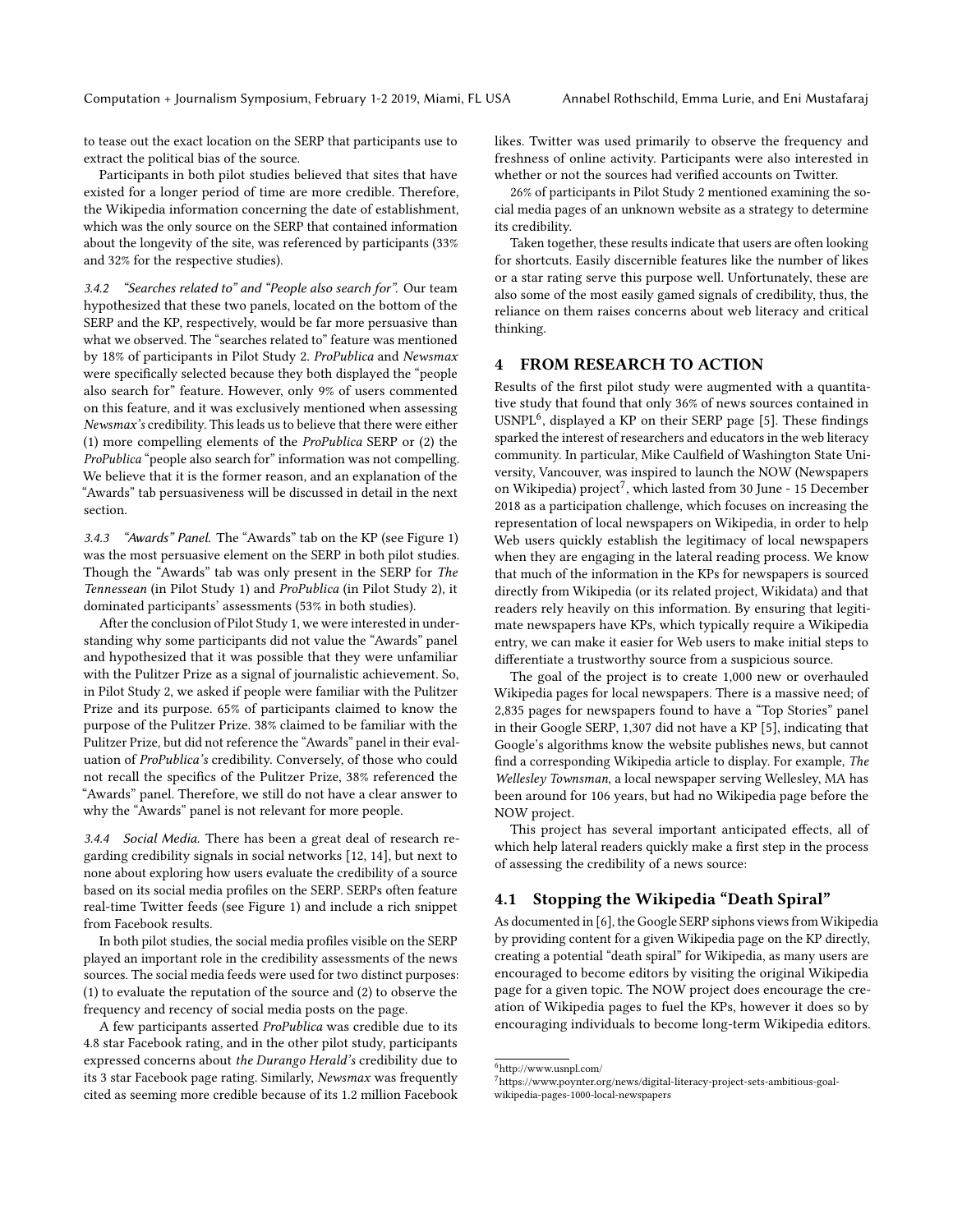to tease out the exact location on the SERP that participants use to extract the political bias of the source.

Participants in both pilot studies believed that sites that have existed for a longer period of time are more credible. Therefore, the Wikipedia information concerning the date of establishment, which was the only source on the SERP that contained information about the longevity of the site, was referenced by participants (33% and 32% for the respective studies).

3.4.2 "Searches related to" and "People also search for". Our team hypothesized that these two panels, located on the bottom of the SERP and the KP, respectively, would be far more persuasive than what we observed. The "searches related to" feature was mentioned by 18% of participants in Pilot Study 2. ProPublica and Newsmax were specifically selected because they both displayed the "people also search for" feature. However, only 9% of users commented on this feature, and it was exclusively mentioned when assessing Newsmax's credibility. This leads us to believe that there were either (1) more compelling elements of the ProPublica SERP or (2) the ProPublica "people also search for" information was not compelling. We believe that it is the former reason, and an explanation of the "Awards" tab persuasiveness will be discussed in detail in the next section.

3.4.3 "Awards" Panel. The "Awards" tab on the KP (see Figure [1\)](#page-1-0) was the most persuasive element on the SERP in both pilot studies. Though the "Awards" tab was only present in the SERP for The Tennessean (in Pilot Study 1) and ProPublica (in Pilot Study 2), it dominated participants' assessments (53% in both studies).

After the conclusion of Pilot Study 1, we were interested in understanding why some participants did not value the "Awards" panel and hypothesized that it was possible that they were unfamiliar with the Pulitzer Prize as a signal of journalistic achievement. So, in Pilot Study 2, we asked if people were familiar with the Pulitzer Prize and its purpose. 65% of participants claimed to know the purpose of the Pulitzer Prize. 38% claimed to be familiar with the Pulitzer Prize, but did not reference the "Awards" panel in their evaluation of ProPublica's credibility. Conversely, of those who could not recall the specifics of the Pulitzer Prize, 38% referenced the "Awards" panel. Therefore, we still do not have a clear answer to why the "Awards" panel is not relevant for more people.

3.4.4 Social Media. There has been a great deal of research regarding credibility signals in social networks [\[12,](#page-4-10) [14\]](#page-4-11), but next to none about exploring how users evaluate the credibility of a source based on its social media profiles on the SERP. SERPs often feature real-time Twitter feeds (see Figure [1\)](#page-1-0) and include a rich snippet from Facebook results.

In both pilot studies, the social media profiles visible on the SERP played an important role in the credibility assessments of the news sources. The social media feeds were used for two distinct purposes: (1) to evaluate the reputation of the source and (2) to observe the frequency and recency of social media posts on the page.

A few participants asserted ProPublica was credible due to its 4.8 star Facebook rating, and in the other pilot study, participants expressed concerns about the Durango Herald's credibility due to its 3 star Facebook page rating. Similarly, Newsmax was frequently cited as seeming more credible because of its 1.2 million Facebook likes. Twitter was used primarily to observe the frequency and freshness of online activity. Participants were also interested in whether or not the sources had verified accounts on Twitter.

26% of participants in Pilot Study 2 mentioned examining the social media pages of an unknown website as a strategy to determine its credibility.

Taken together, these results indicate that users are often looking for shortcuts. Easily discernible features like the number of likes or a star rating serve this purpose well. Unfortunately, these are also some of the most easily gamed signals of credibility, thus, the reliance on them raises concerns about web literacy and critical thinking.

#### 4 FROM RESEARCH TO ACTION

Results of the first pilot study were augmented with a quantitative study that found that only 36% of news sources contained in USNPL<sup>[6](#page-3-0)</sup>, displayed a KP on their SERP page [\[5\]](#page-4-12). These findings sparked the interest of researchers and educators in the web literacy community. In particular, Mike Caulfield of Washington State University, Vancouver, was inspired to launch the NOW (Newspapers on Wikipedia) project<sup>[7](#page-3-1)</sup>, which lasted from 30 June - 15 December 2018 as a participation challenge, which focuses on increasing the representation of local newspapers on Wikipedia, in order to help Web users quickly establish the legitimacy of local newspapers when they are engaging in the lateral reading process. We know that much of the information in the KPs for newspapers is sourced directly from Wikipedia (or its related project, Wikidata) and that readers rely heavily on this information. By ensuring that legitimate newspapers have KPs, which typically require a Wikipedia entry, we can make it easier for Web users to make initial steps to differentiate a trustworthy source from a suspicious source.

The goal of the project is to create 1,000 new or overhauled Wikipedia pages for local newspapers. There is a massive need; of 2,835 pages for newspapers found to have a "Top Stories" panel in their Google SERP, 1,307 did not have a KP [\[5\]](#page-4-12), indicating that Google's algorithms know the website publishes news, but cannot find a corresponding Wikipedia article to display. For example, The Wellesley Townsman, a local newspaper serving Wellesley, MA has been around for 106 years, but had no Wikipedia page before the NOW project.

This project has several important anticipated effects, all of which help lateral readers quickly make a first step in the process of assessing the credibility of a news source:

# 4.1 Stopping the Wikipedia "Death Spiral"

As documented in [\[6\]](#page-4-7), the Google SERP siphons views from Wikipedia by providing content for a given Wikipedia page on the KP directly, creating a potential "death spiral" for Wikipedia, as many users are encouraged to become editors by visiting the original Wikipedia page for a given topic. The NOW project does encourage the creation of Wikipedia pages to fuel the KPs, however it does so by encouraging individuals to become long-term Wikipedia editors.

<span id="page-3-0"></span><sup>6</sup>http://www.usnpl.com/

<span id="page-3-1"></span> $7$ https://www.poynter.org/news/digital-literacy-project-sets-ambitious-goalwikipedia-pages-1000-local-newspapers